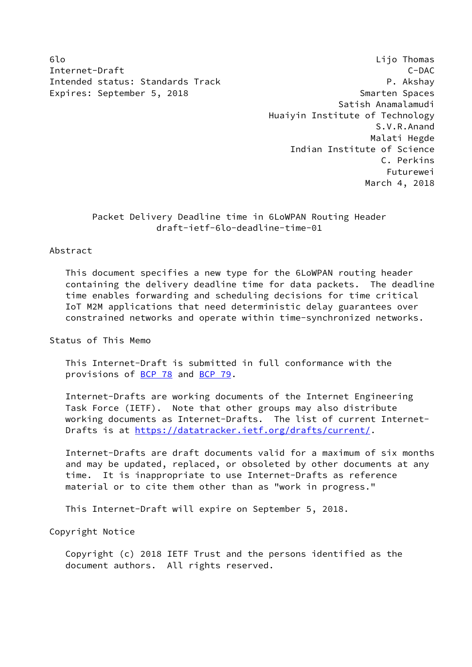Internet-Draft C-DAC Intended status: Standards Track P. Akshay Expires: September 5, 2018 Smarten Spaces

6lo Lijo Thomas Satish Anamalamudi Huaiyin Institute of Technology S.V.R.Anand Malati Hegde Indian Institute of Science C. Perkins Futurewei March 4, 2018

> Packet Delivery Deadline time in 6LoWPAN Routing Header draft-ietf-6lo-deadline-time-01

### Abstract

 This document specifies a new type for the 6LoWPAN routing header containing the delivery deadline time for data packets. The deadline time enables forwarding and scheduling decisions for time critical IoT M2M applications that need deterministic delay guarantees over constrained networks and operate within time-synchronized networks.

Status of This Memo

 This Internet-Draft is submitted in full conformance with the provisions of [BCP 78](https://datatracker.ietf.org/doc/pdf/bcp78) and [BCP 79](https://datatracker.ietf.org/doc/pdf/bcp79).

 Internet-Drafts are working documents of the Internet Engineering Task Force (IETF). Note that other groups may also distribute working documents as Internet-Drafts. The list of current Internet- Drafts is at<https://datatracker.ietf.org/drafts/current/>.

 Internet-Drafts are draft documents valid for a maximum of six months and may be updated, replaced, or obsoleted by other documents at any time. It is inappropriate to use Internet-Drafts as reference material or to cite them other than as "work in progress."

This Internet-Draft will expire on September 5, 2018.

Copyright Notice

 Copyright (c) 2018 IETF Trust and the persons identified as the document authors. All rights reserved.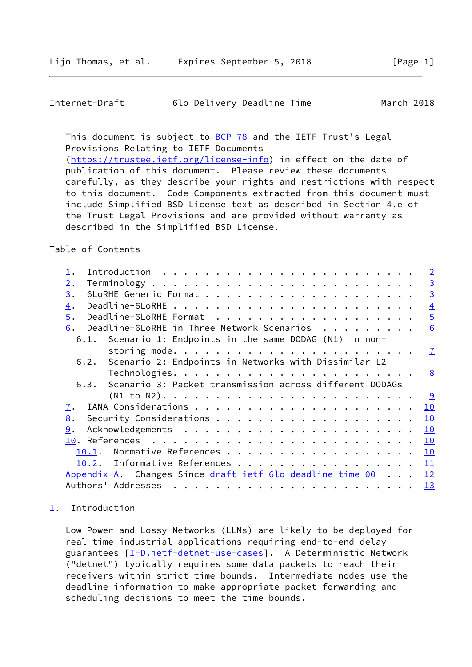<span id="page-1-1"></span>

| Internet-Draft |  |  | 6lo Delivery Deadline Time |  | March 2018 |  |
|----------------|--|--|----------------------------|--|------------|--|
|----------------|--|--|----------------------------|--|------------|--|

This document is subject to **[BCP 78](https://datatracker.ietf.org/doc/pdf/bcp78)** and the IETF Trust's Legal Provisions Relating to IETF Documents [\(https://trustee.ietf.org/license-info](https://trustee.ietf.org/license-info)) in effect on the date of publication of this document. Please review these documents carefully, as they describe your rights and restrictions with respect to this document. Code Components extracted from this document must include Simplified BSD License text as described in Section 4.e of the Trust Legal Provisions and are provided without warranty as described in the Simplified BSD License.

Table of Contents

|                                                                                                                                                                                                                                                                                                                                                                                                                                                                                                               | $\overline{2}$ |
|---------------------------------------------------------------------------------------------------------------------------------------------------------------------------------------------------------------------------------------------------------------------------------------------------------------------------------------------------------------------------------------------------------------------------------------------------------------------------------------------------------------|----------------|
| 2.                                                                                                                                                                                                                                                                                                                                                                                                                                                                                                            | $\overline{3}$ |
| 3.                                                                                                                                                                                                                                                                                                                                                                                                                                                                                                            | $\overline{3}$ |
| $\overline{4}$ .                                                                                                                                                                                                                                                                                                                                                                                                                                                                                              | $\overline{4}$ |
| 5.                                                                                                                                                                                                                                                                                                                                                                                                                                                                                                            | $\overline{5}$ |
| Deadline-6LoRHE in Three Network Scenarios<br>6.                                                                                                                                                                                                                                                                                                                                                                                                                                                              | 6              |
| 6.1. Scenario 1: Endpoints in the same DODAG (N1) in non-                                                                                                                                                                                                                                                                                                                                                                                                                                                     |                |
|                                                                                                                                                                                                                                                                                                                                                                                                                                                                                                               | $\mathbf{7}$   |
| 6.2. Scenario 2: Endpoints in Networks with Dissimilar L2                                                                                                                                                                                                                                                                                                                                                                                                                                                     |                |
|                                                                                                                                                                                                                                                                                                                                                                                                                                                                                                               | <u>8</u>       |
| 6.3. Scenario 3: Packet transmission across different DODAGs                                                                                                                                                                                                                                                                                                                                                                                                                                                  |                |
| $(N1 to N2)$                                                                                                                                                                                                                                                                                                                                                                                                                                                                                                  | <u>୍ର</u>      |
| $\overline{1}$ .                                                                                                                                                                                                                                                                                                                                                                                                                                                                                              | 10             |
| 8.                                                                                                                                                                                                                                                                                                                                                                                                                                                                                                            | 10             |
| 9.                                                                                                                                                                                                                                                                                                                                                                                                                                                                                                            | 10             |
|                                                                                                                                                                                                                                                                                                                                                                                                                                                                                                               | 10             |
| 10.1.                                                                                                                                                                                                                                                                                                                                                                                                                                                                                                         | 10             |
| 10.2. Informative References                                                                                                                                                                                                                                                                                                                                                                                                                                                                                  | 11             |
| Appendix A. Changes Since draft-ietf-6lo-deadline-time-00 12                                                                                                                                                                                                                                                                                                                                                                                                                                                  |                |
| Authors' Addresses<br>$\mathbf{r}^{\mathsf{T}} \cdot \mathbf{r}^{\mathsf{T}} \cdot \mathbf{r}^{\mathsf{T}} \cdot \mathbf{r}^{\mathsf{T}} \cdot \mathbf{r}^{\mathsf{T}} \cdot \mathbf{r}^{\mathsf{T}} \cdot \mathbf{r}^{\mathsf{T}} \cdot \mathbf{r}^{\mathsf{T}} \cdot \mathbf{r}^{\mathsf{T}} \cdot \mathbf{r}^{\mathsf{T}} \cdot \mathbf{r}^{\mathsf{T}} \cdot \mathbf{r}^{\mathsf{T}} \cdot \mathbf{r}^{\mathsf{T}} \cdot \mathbf{r}^{\mathsf{T}} \cdot \mathbf{r}^{\mathsf{T}} \cdot \mathbf{r}^{\mathsf$ | 13             |

# <span id="page-1-0"></span>[1](#page-1-0). Introduction

 Low Power and Lossy Networks (LLNs) are likely to be deployed for real time industrial applications requiring end-to-end delay guarantees [[I-D.ietf-detnet-use-cases\]](#page-12-2). A Deterministic Network ("detnet") typically requires some data packets to reach their receivers within strict time bounds. Intermediate nodes use the deadline information to make appropriate packet forwarding and scheduling decisions to meet the time bounds.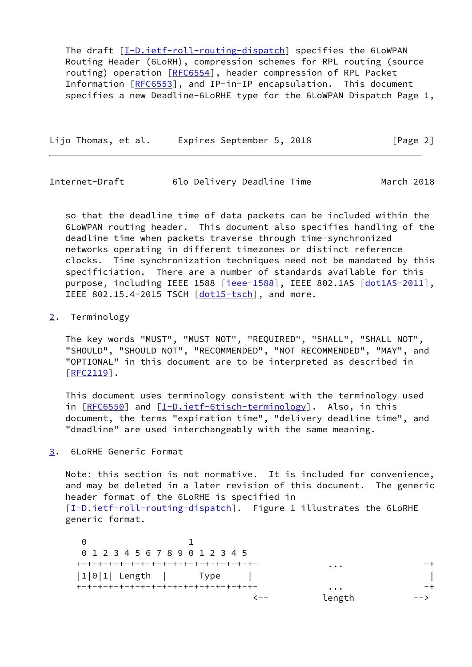The draft [[I-D.ietf-roll-routing-dispatch](#page-11-3)] specifies the 6LoWPAN Routing Header (6LoRH), compression schemes for RPL routing (source routing) operation [[RFC6554\]](https://datatracker.ietf.org/doc/pdf/rfc6554), header compression of RPL Packet Information [\[RFC6553](https://datatracker.ietf.org/doc/pdf/rfc6553)], and IP-in-IP encapsulation. This document specifies a new Deadline-6LoRHE type for the 6LoWPAN Dispatch Page 1,

Lijo Thomas, et al. Expires September 5, 2018 [Page 2]

<span id="page-2-1"></span>Internet-Draft 6lo Delivery Deadline Time March 2018

 so that the deadline time of data packets can be included within the 6LoWPAN routing header. This document also specifies handling of the deadline time when packets traverse through time-synchronized networks operating in different timezones or distinct reference clocks. Time synchronization techniques need not be mandated by this specificiation. There are a number of standards available for this purpose, including IEEE 1588 [\[ieee-1588\]](#page-13-2), IEEE 802.1AS [\[dot1AS-2011](#page-12-3)], IEEE 802.15.4-2015 TSCH [\[dot15-tsch\]](#page-12-4), and more.

#### <span id="page-2-0"></span>[2](#page-2-0). Terminology

 The key words "MUST", "MUST NOT", "REQUIRED", "SHALL", "SHALL NOT", "SHOULD", "SHOULD NOT", "RECOMMENDED", "NOT RECOMMENDED", "MAY", and "OPTIONAL" in this document are to be interpreted as described in [\[RFC2119](https://datatracker.ietf.org/doc/pdf/rfc2119)].

 This document uses terminology consistent with the terminology used in [[RFC6550\]](https://datatracker.ietf.org/doc/pdf/rfc6550) and [\[I-D.ietf-6tisch-terminology](#page-11-4)]. Also, in this document, the terms "expiration time", "delivery deadline time", and "deadline" are used interchangeably with the same meaning.

<span id="page-2-2"></span>[3](#page-2-2). 6LoRHE Generic Format

 Note: this section is not normative. It is included for convenience, and may be deleted in a later revision of this document. The generic header format of the 6LoRHE is specified in [\[I-D.ietf-roll-routing-dispatch](#page-11-3)]. Figure 1 illustrates the 6LoRHE generic format.

 0 1 0 1 2 3 4 5 6 7 8 9 0 1 2 3 4 5 +-+-+-+-+-+-+-+-+-+-+-+-+-+-+-+-+- ... -+ |1|0|1| Length | Type | | +-+-+-+-+-+-+-+-+-+-+-+-+-+-+-+-+- ... -+ <-- length -->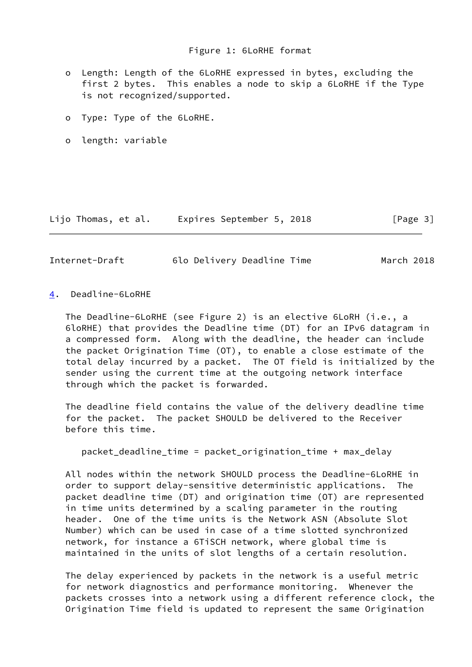- o Length: Length of the 6LoRHE expressed in bytes, excluding the first 2 bytes. This enables a node to skip a 6LoRHE if the Type is not recognized/supported.
- o Type: Type of the 6LoRHE.
- o length: variable

Lijo Thomas, et al. Expires September 5, 2018 [Page 3]

<span id="page-3-1"></span>

| Internet-Draft |  | 6lo Delivery Deadline Time | March 2018 |
|----------------|--|----------------------------|------------|
|----------------|--|----------------------------|------------|

<span id="page-3-0"></span>[4](#page-3-0). Deadline-6LoRHE

 The Deadline-6LoRHE (see Figure 2) is an elective 6LoRH (i.e., a 6loRHE) that provides the Deadline time (DT) for an IPv6 datagram in a compressed form. Along with the deadline, the header can include the packet Origination Time (OT), to enable a close estimate of the total delay incurred by a packet. The OT field is initialized by the sender using the current time at the outgoing network interface through which the packet is forwarded.

 The deadline field contains the value of the delivery deadline time for the packet. The packet SHOULD be delivered to the Receiver before this time.

packet\_deadline\_time = packet\_origination\_time + max\_delay

 All nodes within the network SHOULD process the Deadline-6LoRHE in order to support delay-sensitive deterministic applications. The packet deadline time (DT) and origination time (OT) are represented in time units determined by a scaling parameter in the routing header. One of the time units is the Network ASN (Absolute Slot Number) which can be used in case of a time slotted synchronized network, for instance a 6TiSCH network, where global time is maintained in the units of slot lengths of a certain resolution.

 The delay experienced by packets in the network is a useful metric for network diagnostics and performance monitoring. Whenever the packets crosses into a network using a different reference clock, the Origination Time field is updated to represent the same Origination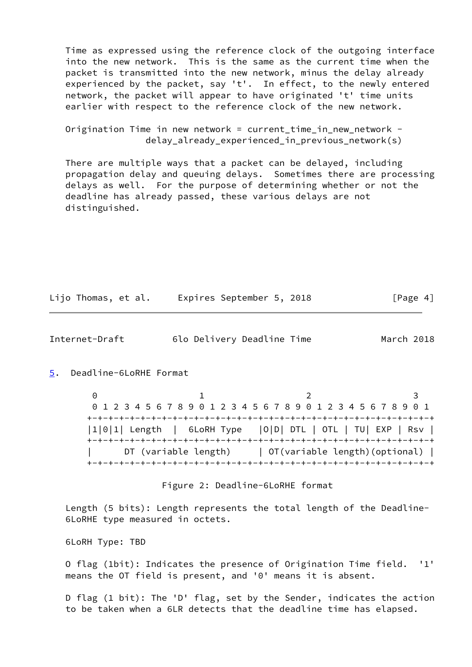Time as expressed using the reference clock of the outgoing interface into the new network. This is the same as the current time when the packet is transmitted into the new network, minus the delay already experienced by the packet, say 't'. In effect, to the newly entered network, the packet will appear to have originated 't' time units earlier with respect to the reference clock of the new network.

 Origination Time in new network = current\_time\_in\_new\_network delay\_already\_experienced\_in\_previous\_network(s)

 There are multiple ways that a packet can be delayed, including propagation delay and queuing delays. Sometimes there are processing delays as well. For the purpose of determining whether or not the deadline has already passed, these various delays are not distinguished.

|  | Lijo Thomas, et al. |  |  |  | Expires September 5, 2018 |  |  | [Page 4] |  |
|--|---------------------|--|--|--|---------------------------|--|--|----------|--|
|--|---------------------|--|--|--|---------------------------|--|--|----------|--|

<span id="page-4-1"></span>Internet-Draft 6lo Delivery Deadline Time March 2018

<span id="page-4-0"></span>[5](#page-4-0). Deadline-6LoRHE Format

 $0$  1 2 3 0 1 2 3 4 5 6 7 8 9 0 1 2 3 4 5 6 7 8 9 0 1 2 3 4 5 6 7 8 9 0 1 +-+-+-+-+-+-+-+-+-+-+-+-+-+-+-+-+-+-+-+-+-+-+-+-+-+-+-+-+-+-+-+-+ |1|0|1| Length | 6LoRH Type |O|D| DTL | OTL | TU| EXP | Rsv | +-+-+-+-+-+-+-+-+-+-+-+-+-+-+-+-+-+-+-+-+-+-+-+-+-+-+-+-+-+-+-+-+ DT (variable length) | OT(variable length)(optional) | +-+-+-+-+-+-+-+-+-+-+-+-+-+-+-+-+-+-+-+-+-+-+-+-+-+-+-+-+-+-+-+-+

Figure 2: Deadline-6LoRHE format

 Length (5 bits): Length represents the total length of the Deadline- 6LoRHE type measured in octets.

6LoRH Type: TBD

 O flag (1bit): Indicates the presence of Origination Time field. '1' means the OT field is present, and '0' means it is absent.

 D flag (1 bit): The 'D' flag, set by the Sender, indicates the action to be taken when a 6LR detects that the deadline time has elapsed.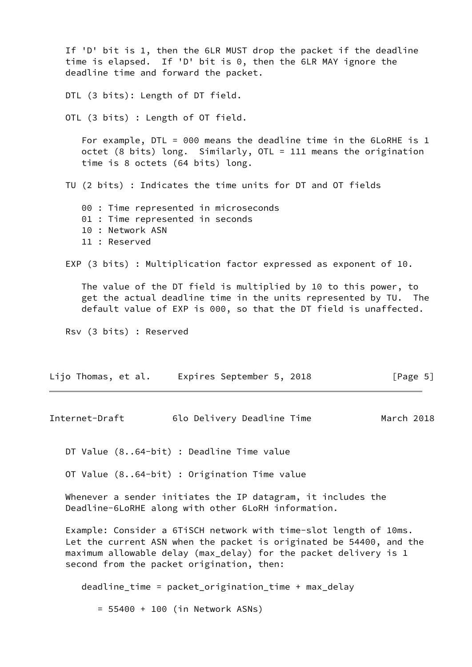<span id="page-5-0"></span> If 'D' bit is 1, then the 6LR MUST drop the packet if the deadline time is elapsed. If 'D' bit is 0, then the 6LR MAY ignore the deadline time and forward the packet. DTL (3 bits): Length of DT field. OTL (3 bits) : Length of OT field. For example, DTL = 000 means the deadline time in the 6LoRHE is 1 octet (8 bits) long. Similarly, OTL = 111 means the origination time is 8 octets (64 bits) long. TU (2 bits) : Indicates the time units for DT and OT fields 00 : Time represented in microseconds 01 : Time represented in seconds 10 : Network ASN 11 : Reserved EXP (3 bits) : Multiplication factor expressed as exponent of 10. The value of the DT field is multiplied by 10 to this power, to get the actual deadline time in the units represented by TU. The default value of EXP is 000, so that the DT field is unaffected. Rsv (3 bits) : Reserved Lijo Thomas, et al. Expires September 5, 2018 [Page 5] Internet-Draft 6lo Delivery Deadline Time March 2018 DT Value (8..64-bit) : Deadline Time value OT Value (8..64-bit) : Origination Time value Whenever a sender initiates the IP datagram, it includes the Deadline-6LoRHE along with other 6LoRH information. Example: Consider a 6TiSCH network with time-slot length of 10ms. Let the current ASN when the packet is originated be 54400, and the maximum allowable delay (max\_delay) for the packet delivery is 1 second from the packet origination, then: deadline\_time = packet\_origination\_time + max\_delay = 55400 + 100 (in Network ASNs)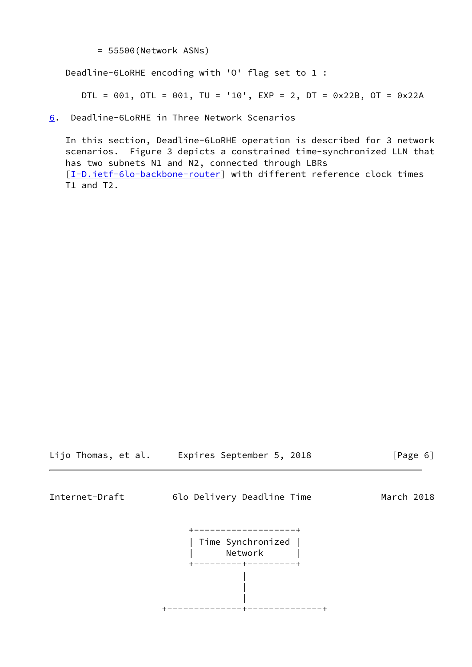= 55500(Network ASNs)

Deadline-6LoRHE encoding with 'O' flag set to 1 :

DTL = 001, OTL = 001, TU = '10',  $EXP = 2$ ,  $DT = 0x22B$ ,  $OT = 0x22A$ 

<span id="page-6-0"></span>[6](#page-6-0). Deadline-6LoRHE in Three Network Scenarios

 In this section, Deadline-6LoRHE operation is described for 3 network scenarios. Figure 3 depicts a constrained time-synchronized LLN that has two subnets N1 and N2, connected through LBRs [\[I-D.ietf-6lo-backbone-router](#page-12-5)] with different reference clock times T1 and T2.

Lijo Thomas, et al. Expires September 5, 2018 [Page 6]

<span id="page-6-1"></span>

Internet-Draft 6lo Delivery Deadline Time March 2018

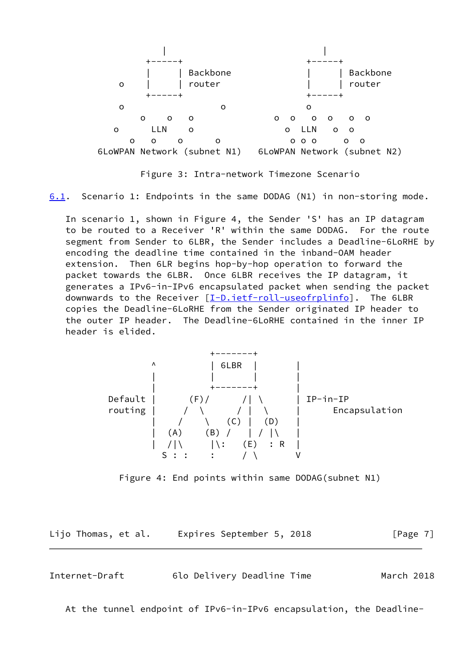

Figure 3: Intra-network Timezone Scenario

<span id="page-7-1"></span>[6.1](#page-7-1). Scenario 1: Endpoints in the same DODAG (N1) in non-storing mode.

 In scenario 1, shown in Figure 4, the Sender 'S' has an IP datagram to be routed to a Receiver 'R' within the same DODAG. For the route segment from Sender to 6LBR, the Sender includes a Deadline-6LoRHE by encoding the deadline time contained in the inband-OAM header extension. Then 6LR begins hop-by-hop operation to forward the packet towards the 6LBR. Once 6LBR receives the IP datagram, it generates a IPv6-in-IPv6 encapsulated packet when sending the packet downwards to the Receiver [[I-D.ietf-roll-useofrplinfo\]](#page-12-6). The 6LBR copies the Deadline-6LoRHE from the Sender originated IP header to the outer IP header. The Deadline-6LoRHE contained in the inner IP header is elided.

 +-------+ ^ | 6LBR | | | | | | | +-------+ | Default | (F)/ /| \ | IP-in-IP routing | / \ / | \ | Encapsulation  $\vert$  /  $\vert$  (C)  $\vert$  (D)  $\vert$  $|(A)$   $(|B) / | / |\Lambda|$  $|\quad| \setminus |\setminus$   $|\setminus$ : (E) : R |  $\begin{matrix} | & | & | & | & | \ 1 & | & | & | & | \ 2 & 3 & 3 & 3 & 5 \end{matrix}$  :  $\begin{matrix} | & | & | & | & | & | & | \ 1 & | & | & | & | & | & | & | \ 1 & | & | & | & | & | & | & | & | \ 1 & | & | & | & | & | & | & | & | & | \end{matrix}$ 

Figure 4: End points within same DODAG(subnet N1)

Lijo Thomas, et al. Expires September 5, 2018 [Page 7]

<span id="page-7-0"></span>Internet-Draft 6lo Delivery Deadline Time March 2018

At the tunnel endpoint of IPv6-in-IPv6 encapsulation, the Deadline-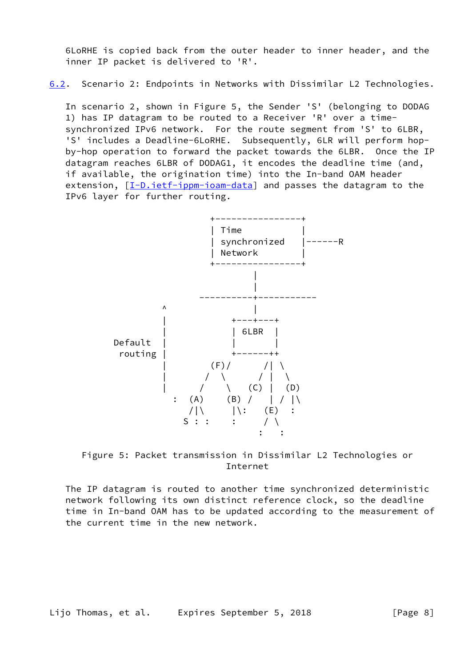6LoRHE is copied back from the outer header to inner header, and the inner IP packet is delivered to 'R'.

<span id="page-8-0"></span>[6.2](#page-8-0). Scenario 2: Endpoints in Networks with Dissimilar L2 Technologies.

 In scenario 2, shown in Figure 5, the Sender 'S' (belonging to DODAG 1) has IP datagram to be routed to a Receiver 'R' over a time synchronized IPv6 network. For the route segment from 'S' to 6LBR, 'S' includes a Deadline-6LoRHE. Subsequently, 6LR will perform hop by-hop operation to forward the packet towards the 6LBR. Once the IP datagram reaches 6LBR of DODAG1, it encodes the deadline time (and, if available, the origination time) into the In-band OAM header extension, [[I-D.ietf-ippm-ioam-data\]](#page-12-7) and passes the datagram to the IPv6 layer for further routing.





 The IP datagram is routed to another time synchronized deterministic network following its own distinct reference clock, so the deadline time in In-band OAM has to be updated according to the measurement of the current time in the new network.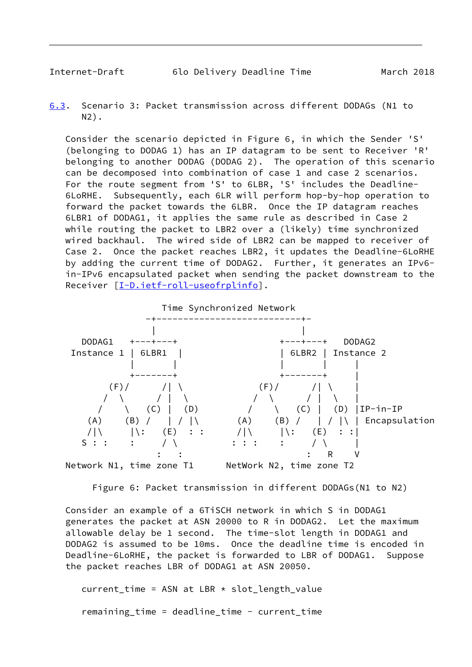<span id="page-9-1"></span><span id="page-9-0"></span>[6.3](#page-9-1). Scenario 3: Packet transmission across different DODAGs (N1 to N2).

 Consider the scenario depicted in Figure 6, in which the Sender 'S' (belonging to DODAG 1) has an IP datagram to be sent to Receiver 'R' belonging to another DODAG (DODAG 2). The operation of this scenario can be decomposed into combination of case 1 and case 2 scenarios. For the route segment from 'S' to 6LBR, 'S' includes the Deadline- 6LoRHE. Subsequently, each 6LR will perform hop-by-hop operation to forward the packet towards the 6LBR. Once the IP datagram reaches 6LBR1 of DODAG1, it applies the same rule as described in Case 2 while routing the packet to LBR2 over a (likely) time synchronized wired backhaul. The wired side of LBR2 can be mapped to receiver of Case 2. Once the packet reaches LBR2, it updates the Deadline-6LoRHE by adding the current time of DODAG2. Further, it generates an IPv6 in-IPv6 encapsulated packet when sending the packet downstream to the Receiver [\[I-D.ietf-roll-useofrplinfo\]](#page-12-6).



Figure 6: Packet transmission in different DODAGs(N1 to N2)

 Consider an example of a 6TiSCH network in which S in DODAG1 generates the packet at ASN 20000 to R in DODAG2. Let the maximum allowable delay be 1 second. The time-slot length in DODAG1 and DODAG2 is assumed to be 10ms. Once the deadline time is encoded in Deadline-6LoRHE, the packet is forwarded to LBR of DODAG1. Suppose the packet reaches LBR of DODAG1 at ASN 20050.

 $current_time = ASN at LBR * slot_length_value$ remaining\_time = deadline\_time - current\_time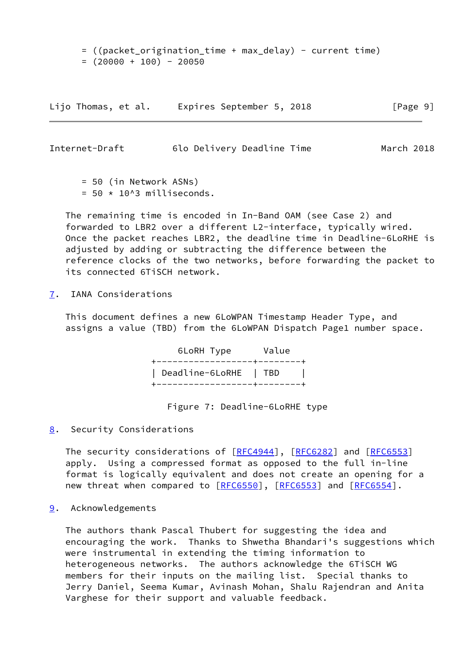= ((packet\_origination\_time + max\_delay) - current time)  $= (20000 + 100) - 20050$ 

Lijo Thomas, et al. Expires September 5, 2018 [Page 9]

<span id="page-10-1"></span>Internet-Draft 6lo Delivery Deadline Time March 2018

 = 50 (in Network ASNs)  $= 50 \times 10^{13}$  milliseconds.

 The remaining time is encoded in In-Band OAM (see Case 2) and forwarded to LBR2 over a different L2-interface, typically wired. Once the packet reaches LBR2, the deadline time in Deadline-6LoRHE is adjusted by adding or subtracting the difference between the reference clocks of the two networks, before forwarding the packet to its connected 6TiSCH network.

<span id="page-10-0"></span>[7](#page-10-0). IANA Considerations

 This document defines a new 6LoWPAN Timestamp Header Type, and assigns a value (TBD) from the 6LoWPAN Dispatch Page1 number space.

> 6LoRH Type Value +------------------+--------+ | Deadline-6LoRHE | TBD | +------------------+--------+

> > Figure 7: Deadline-6LoRHE type

<span id="page-10-2"></span>[8](#page-10-2). Security Considerations

The security considerations of [\[RFC4944](https://datatracker.ietf.org/doc/pdf/rfc4944)], [[RFC6282](https://datatracker.ietf.org/doc/pdf/rfc6282)] and [\[RFC6553](https://datatracker.ietf.org/doc/pdf/rfc6553)] apply. Using a compressed format as opposed to the full in-line format is logically equivalent and does not create an opening for a new threat when compared to [\[RFC6550](https://datatracker.ietf.org/doc/pdf/rfc6550)], [\[RFC6553](https://datatracker.ietf.org/doc/pdf/rfc6553)] and [\[RFC6554](https://datatracker.ietf.org/doc/pdf/rfc6554)].

<span id="page-10-3"></span>[9](#page-10-3). Acknowledgements

 The authors thank Pascal Thubert for suggesting the idea and encouraging the work. Thanks to Shwetha Bhandari's suggestions which were instrumental in extending the timing information to heterogeneous networks. The authors acknowledge the 6TiSCH WG members for their inputs on the mailing list. Special thanks to Jerry Daniel, Seema Kumar, Avinash Mohan, Shalu Rajendran and Anita Varghese for their support and valuable feedback.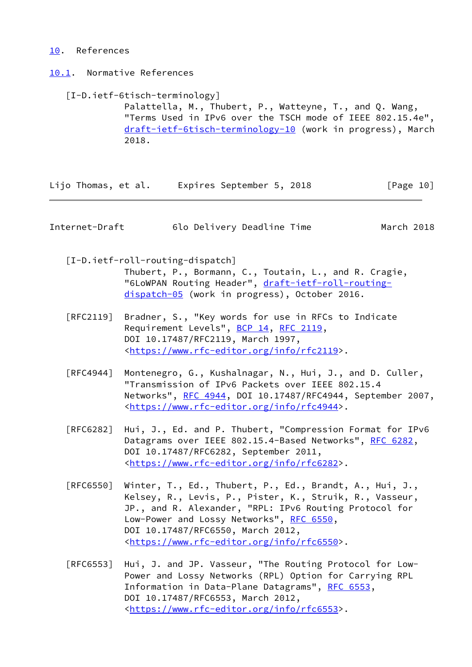# <span id="page-11-0"></span>[10.](#page-11-0) References

<span id="page-11-1"></span>[10.1](#page-11-1). Normative References

<span id="page-11-4"></span> [I-D.ietf-6tisch-terminology] Palattella, M., Thubert, P., Watteyne, T., and Q. Wang, "Terms Used in IPv6 over the TSCH mode of IEEE 802.15.4e", [draft-ietf-6tisch-terminology-10](https://datatracker.ietf.org/doc/pdf/draft-ietf-6tisch-terminology-10) (work in progress), March 2018.

Lijo Thomas, et al. Expires September 5, 2018 [Page 10]

<span id="page-11-2"></span>Internet-Draft 6lo Delivery Deadline Time March 2018

<span id="page-11-3"></span> [I-D.ietf-roll-routing-dispatch] Thubert, P., Bormann, C., Toutain, L., and R. Cragie, "6LoWPAN Routing Header", [draft-ietf-roll-routing](https://datatracker.ietf.org/doc/pdf/draft-ietf-roll-routing-dispatch-05) [dispatch-05](https://datatracker.ietf.org/doc/pdf/draft-ietf-roll-routing-dispatch-05) (work in progress), October 2016.

- [RFC2119] Bradner, S., "Key words for use in RFCs to Indicate Requirement Levels", [BCP 14](https://datatracker.ietf.org/doc/pdf/bcp14), [RFC 2119](https://datatracker.ietf.org/doc/pdf/rfc2119), DOI 10.17487/RFC2119, March 1997, <[https://www.rfc-editor.org/info/rfc2119>](https://www.rfc-editor.org/info/rfc2119).
- [RFC4944] Montenegro, G., Kushalnagar, N., Hui, J., and D. Culler, "Transmission of IPv6 Packets over IEEE 802.15.4 Networks", [RFC 4944](https://datatracker.ietf.org/doc/pdf/rfc4944), DOI 10.17487/RFC4944, September 2007, <[https://www.rfc-editor.org/info/rfc4944>](https://www.rfc-editor.org/info/rfc4944).
- [RFC6282] Hui, J., Ed. and P. Thubert, "Compression Format for IPv6 Datagrams over IEEE 802.15.4-Based Networks", [RFC 6282](https://datatracker.ietf.org/doc/pdf/rfc6282), DOI 10.17487/RFC6282, September 2011, <[https://www.rfc-editor.org/info/rfc6282>](https://www.rfc-editor.org/info/rfc6282).
- [RFC6550] Winter, T., Ed., Thubert, P., Ed., Brandt, A., Hui, J., Kelsey, R., Levis, P., Pister, K., Struik, R., Vasseur, JP., and R. Alexander, "RPL: IPv6 Routing Protocol for Low-Power and Lossy Networks", [RFC 6550](https://datatracker.ietf.org/doc/pdf/rfc6550), DOI 10.17487/RFC6550, March 2012, <[https://www.rfc-editor.org/info/rfc6550>](https://www.rfc-editor.org/info/rfc6550).
- [RFC6553] Hui, J. and JP. Vasseur, "The Routing Protocol for Low- Power and Lossy Networks (RPL) Option for Carrying RPL Information in Data-Plane Datagrams", [RFC 6553](https://datatracker.ietf.org/doc/pdf/rfc6553), DOI 10.17487/RFC6553, March 2012, <[https://www.rfc-editor.org/info/rfc6553>](https://www.rfc-editor.org/info/rfc6553).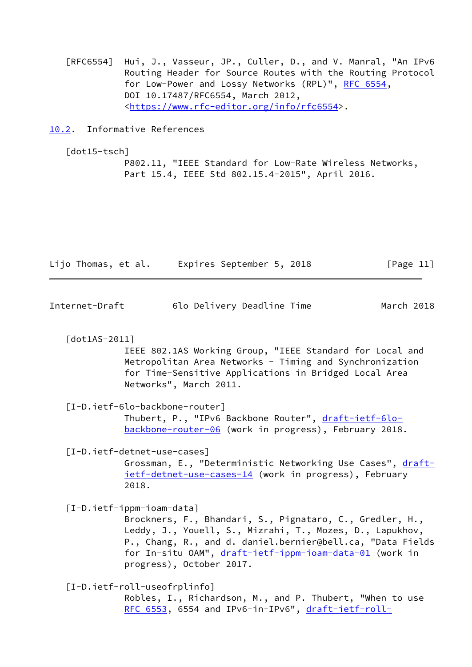[RFC6554] Hui, J., Vasseur, JP., Culler, D., and V. Manral, "An IPv6 Routing Header for Source Routes with the Routing Protocol for Low-Power and Lossy Networks (RPL)", [RFC 6554,](https://datatracker.ietf.org/doc/pdf/rfc6554) DOI 10.17487/RFC6554, March 2012, <[https://www.rfc-editor.org/info/rfc6554>](https://www.rfc-editor.org/info/rfc6554).

<span id="page-12-0"></span>[10.2](#page-12-0). Informative References

<span id="page-12-4"></span>[dot15-tsch]

 P802.11, "IEEE Standard for Low-Rate Wireless Networks, Part 15.4, IEEE Std 802.15.4-2015", April 2016.

| Lijo Thomas, et al. | Expires September 5, 2018 | [Page 11] |
|---------------------|---------------------------|-----------|
|---------------------|---------------------------|-----------|

<span id="page-12-1"></span>Internet-Draft 6lo Delivery Deadline Time March 2018

<span id="page-12-3"></span>[dot1AS-2011]

 IEEE 802.1AS Working Group, "IEEE Standard for Local and Metropolitan Area Networks - Timing and Synchronization for Time-Sensitive Applications in Bridged Local Area Networks", March 2011.

### <span id="page-12-5"></span>[I-D.ietf-6lo-backbone-router]

 Thubert, P., "IPv6 Backbone Router", [draft-ietf-6lo](https://datatracker.ietf.org/doc/pdf/draft-ietf-6lo-backbone-router-06) [backbone-router-06](https://datatracker.ietf.org/doc/pdf/draft-ietf-6lo-backbone-router-06) (work in progress), February 2018.

<span id="page-12-2"></span>[I-D.ietf-detnet-use-cases]

Grossman, E., "Deterministic Networking Use Cases", [draft](https://datatracker.ietf.org/doc/pdf/draft-ietf-detnet-use-cases-14) [ietf-detnet-use-cases-14](https://datatracker.ietf.org/doc/pdf/draft-ietf-detnet-use-cases-14) (work in progress), February 2018.

<span id="page-12-7"></span>[I-D.ietf-ippm-ioam-data]

 Brockners, F., Bhandari, S., Pignataro, C., Gredler, H., Leddy, J., Youell, S., Mizrahi, T., Mozes, D., Lapukhov, P., Chang, R., and d. daniel.bernier@bell.ca, "Data Fields for In-situ OAM", [draft-ietf-ippm-ioam-data-01](https://datatracker.ietf.org/doc/pdf/draft-ietf-ippm-ioam-data-01) (work in progress), October 2017.

<span id="page-12-6"></span>[I-D.ietf-roll-useofrplinfo]

 Robles, I., Richardson, M., and P. Thubert, "When to use [RFC 6553,](https://datatracker.ietf.org/doc/pdf/rfc6553) 6554 and IPv6-in-IPv6", [draft-ietf-roll-](https://datatracker.ietf.org/doc/pdf/draft-ietf-roll-useofrplinfo-22)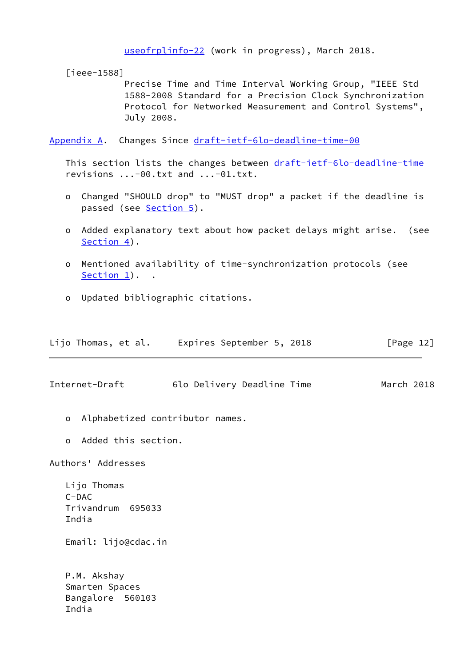[useofrplinfo-22](https://datatracker.ietf.org/doc/pdf/draft-ietf-roll-useofrplinfo-22) (work in progress), March 2018.

<span id="page-13-2"></span>[ieee-1588]

 Precise Time and Time Interval Working Group, "IEEE Std 1588-2008 Standard for a Precision Clock Synchronization Protocol for Networked Measurement and Control Systems", July 2008.

<span id="page-13-0"></span>[Appendix A.](#page-13-0) Changes Since [draft-ietf-6lo-deadline-time-00](https://datatracker.ietf.org/doc/pdf/draft-ietf-6lo-deadline-time-00)

This section lists the changes between [draft-ietf-6lo-deadline-time](https://datatracker.ietf.org/doc/pdf/draft-ietf-6lo-deadline-time) revisions ...-00.txt and ...-01.txt.

- o Changed "SHOULD drop" to "MUST drop" a packet if the deadline is passed (see [Section 5\)](#page-4-0).
- o Added explanatory text about how packet delays might arise. (see [Section 4\)](#page-3-0).
- o Mentioned availability of time-synchronization protocols (see [Section 1\)](#page-1-0).
- o Updated bibliographic citations.

| Lijo Thomas, et al. | Expires September 5, 2018 |  | [Page 12] |
|---------------------|---------------------------|--|-----------|
|---------------------|---------------------------|--|-----------|

<span id="page-13-1"></span>Internet-Draft 6lo Delivery Deadline Time March 2018

- o Alphabetized contributor names.
- o Added this section.

Authors' Addresses

 Lijo Thomas C-DAC Trivandrum 695033 India

Email: lijo@cdac.in

 P.M. Akshay Smarten Spaces Bangalore 560103 India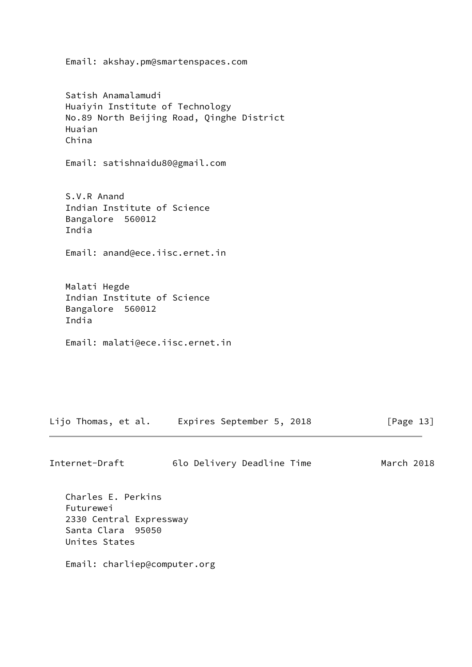Satish Anamalamudi Huaiyin Institute of Technology No.89 North Beijing Road, Qinghe District Huaian China Email: satishnaidu80@gmail.com S.V.R Anand Indian Institute of Science Bangalore 560012 India Email: anand@ece.iisc.ernet.in Malati Hegde Indian Institute of Science Bangalore 560012 India Email: malati@ece.iisc.ernet.in

Email: akshay.pm@smartenspaces.com

Lijo Thomas, et al. Expires September 5, 2018 [Page 13]

| Internet-Draft | 6lo Delivery Deadline Time |  | March 2018 |  |
|----------------|----------------------------|--|------------|--|
|                |                            |  |            |  |

 Charles E. Perkins Futurewei 2330 Central Expressway Santa Clara 95050 Unites States

Email: charliep@computer.org